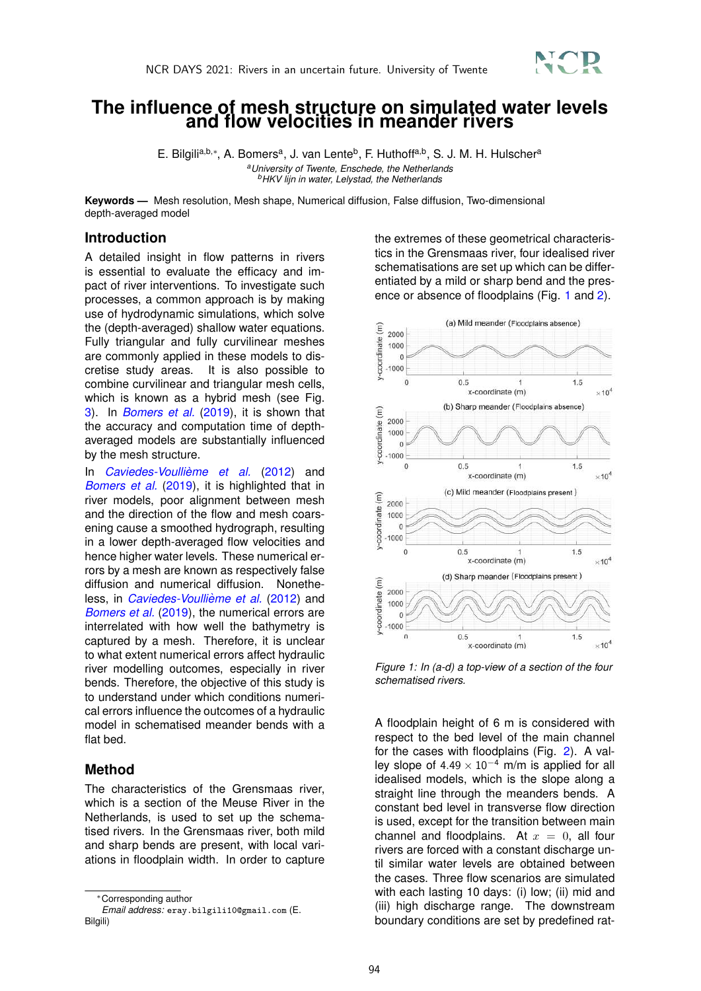

# **The influence of mesh structure on simulated water levels and flow velocities in meander rivers**

E. Bilgili<sup>a,b,</sup>\*, A. Bomers<sup>a</sup>, J. van Lente<sup>b</sup>, F. Huthoff<sup>a,b</sup>, S. J. M. H. Hulscher<sup>a</sup> *<sup>a</sup>University of Twente, Enschede, the Netherlands <sup>b</sup>HKV lijn in water, Lelystad, the Netherlands*

**Keywords —** Mesh resolution, Mesh shape, Numerical diffusion, False diffusion, Two-dimensional depth-averaged model

### **Introduction**

A detailed insight in flow patterns in rivers is essential to evaluate the efficacy and impact of river interventions. To investigate such processes, a common approach is by making use of hydrodynamic simulations, which solve the (depth-averaged) shallow water equations. Fully triangular and fully curvilinear meshes are commonly applied in these models to discretise study areas. It is also possible to combine curvilinear and triangular mesh cells, which is known as a hybrid mesh (see Fig. 3). In *Bomers et al.* (2019), it is shown that the accuracy and computation time of depthaveraged models are substantially influenced by the mesh structure.

In *Caviedes-Voullieme et al. `* (2012) and *Bomers et al.* (2019), it is highlighted that in river models, poor alignment between mesh and the direction of the flow and mesh coarsening cause a smoothed hydrograph, resulting in a lower depth-averaged flow velocities and hence higher water levels. These numerical errors by a mesh are known as respectively false diffusion and numerical diffusion. Nonetheless, in *Caviedes-Voullième et al.* (2012) and *Bomers et al.* (2019), the numerical errors are interrelated with how well the bathymetry is captured by a mesh. Therefore, it is unclear to what extent numerical errors affect hydraulic river modelling outcomes, especially in river bends. Therefore, the objective of this study is to understand under which conditions numerical errors influence the outcomes of a hydraulic model in schematised meander bends with a flat bed.

## **Method**

The characteristics of the Grensmaas river, which is a section of the Meuse River in the Netherlands, is used to set up the schematised rivers. In the Grensmaas river, both mild and sharp bends are present, with local variations in floodplain width. In order to capture the extremes of these geometrical characteristics in the Grensmaas river, four idealised river schematisations are set up which can be differentiated by a mild or sharp bend and the presence or absence of floodplains (Fig. 1 and 2).



*Figure 1: In (a-d) a top-view of a section of the four schematised rivers.*

A floodplain height of 6 m is considered with respect to the bed level of the main channel for the cases with floodplains (Fig. 2). A valley slope of  $4.49 \times 10^{-4}$  m/m is applied for all idealised models, which is the slope along a straight line through the meanders bends. A constant bed level in transverse flow direction is used, except for the transition between main channel and floodplains. At  $x = 0$ , all four rivers are forced with a constant discharge until similar water levels are obtained between the cases. Three flow scenarios are simulated with each lasting 10 days: (i) low; (ii) mid and (iii) high discharge range. The downstream boundary conditions are set by predefined rat-

<sup>∗</sup>Corresponding author

*Email address:* eray.bilgili10@gmail.com (E. Bilgili)